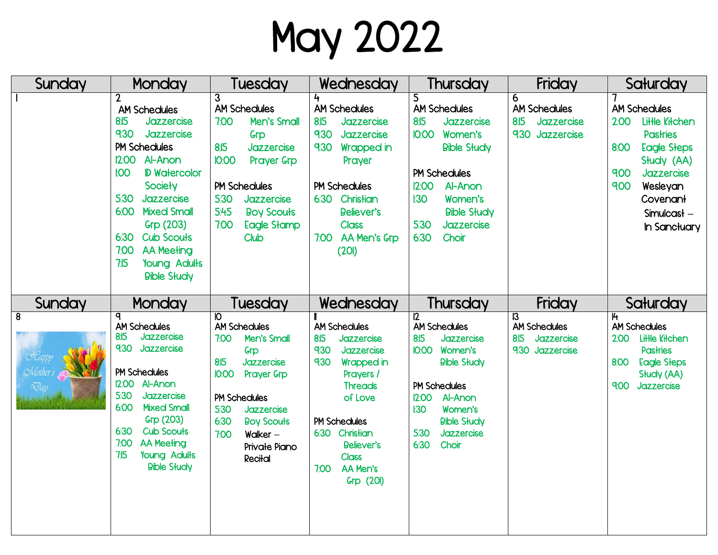## May 2022

| Sunday<br>Monday                                                                           |                                                                                                                                                                                                                                                                                                                                        | Tuesday                                                                                                                                                                                                                                                       | Wednesday                                                                                                                                                                                                                      | Thursday                                                                                                                                                                                                                            | Friday                                                             | Saturday                                                                                                                                                                                           |
|--------------------------------------------------------------------------------------------|----------------------------------------------------------------------------------------------------------------------------------------------------------------------------------------------------------------------------------------------------------------------------------------------------------------------------------------|---------------------------------------------------------------------------------------------------------------------------------------------------------------------------------------------------------------------------------------------------------------|--------------------------------------------------------------------------------------------------------------------------------------------------------------------------------------------------------------------------------|-------------------------------------------------------------------------------------------------------------------------------------------------------------------------------------------------------------------------------------|--------------------------------------------------------------------|----------------------------------------------------------------------------------------------------------------------------------------------------------------------------------------------------|
|                                                                                            | $\overline{2}$<br><b>AM Schedules</b><br>8:15<br>Jazzercise<br>9:30<br>Jazzercise<br><b>PM Schedules</b><br>I2:00 Al-Anon<br><b>I:00</b><br><b>ID Watercolor</b><br>Society<br>5:30<br>Jazzercise<br>6:00 Mixed Small<br>Grp (203)<br>6:30 Cub Scouts<br><b>AA Meeting</b><br>7:00<br>7:5<br><b>Young Adults</b><br><b>Bible Słudy</b> | 3<br><b>AM Schedules</b><br>Men's Small<br>7:00<br>Grp<br>8:15<br>Jazzercise<br><b>10:00</b><br><b>Prayer Grp</b><br><b>PM Schedules</b><br>5:30<br>Jazzercise<br>5:45<br><b>Boy Scouts</b><br>7:00<br><b>Eagle Stamp</b><br>Club                             | <b>AM Schedules</b><br>8:15<br>Jazzercise<br>9:30<br>Jazzercise<br>9:30<br>Wrapped in<br>Prayer<br><b>PM Schedules</b><br>6:30 Christian<br>Believer's<br><b>Class</b><br>7:00 AA Men's Grp<br>(201)                           | <b>AM Schedules</b><br>8:15<br>Jazzercise<br>I0:00 Women's<br><b>Bible Słudy</b><br><b>PM Schedules</b><br>12:00<br>Al-Anon<br><b>I:30</b><br>Women's<br><b>Bible Słudy</b><br>5:30<br>Jazzercise<br>6:30<br>Choir                  | 6<br><b>AM Schedules</b><br>Jazzercise<br>8:15<br>9:30 Jazzercise  | <b>AM Schedules</b><br>LiHle Kitchen<br>2:00<br><b>Pastries</b><br>8:00<br><b>Eagle Steps</b><br>Słudy (AA)<br>9:00<br>Jazzercise<br>9:00<br>Wesleyan<br>Covenant<br>$Simulcast -$<br>In Sanctuary |
| Sunday                                                                                     | <b>Monday</b>                                                                                                                                                                                                                                                                                                                          | Tuesday                                                                                                                                                                                                                                                       | Wednesday                                                                                                                                                                                                                      | Thursday                                                                                                                                                                                                                            | Friday                                                             | Saturday                                                                                                                                                                                           |
| ब<br>$\mathcal{C}\hspace{-0.4mm}\mathit{C}$ appy<br>Mother.<br>$\overline{\mathcal{D}}$ ay | q<br><b>AM Schedules</b><br>8:15<br>Jazzercise<br>9:30 Jazzercise<br>PM Schedules<br>I2:00 Al-Anon<br>5:30<br>Jazzercise<br>6:00<br><b>Mixed Small</b><br>Grp (203)<br><b>Cub Scouts</b><br>6:30<br>7:00<br><b>AA Meeling</b><br>7:5<br><b>Young Adults</b><br><b>Bible Słudy</b>                                                      | $\overline{0}$<br><b>AM Schedules</b><br>Men's Small<br>7:00<br>Grp<br>8:15<br>Jazzercise<br><b>10:00</b><br><b>Prayer Grp</b><br><b>PM Schedules</b><br>5:30<br>Jazzercise<br>6:30<br><b>Boy Scouts</b><br>$W$ alker $-$<br>7:00<br>Private Piano<br>Recital | <b>AM Schedules</b><br>Jazzercise<br>8:15<br>9:30<br>Jazzercise<br>9:30<br>Wrapped in<br>Prayers /<br><b>Threads</b><br>of Love<br><b>PM Schedules</b><br>6:30 Christian<br>Believer's<br>Class<br>AA Men's<br>7:00<br>Grp(20) | $\mathsf{I2}$<br><b>AM Schedules</b><br>8:15<br>Jazzercise<br>I0:00 Women's<br><b>Bible Słudy</b><br><b>PM Schedules</b><br>Al-Anon<br>12:00<br><b>I:30</b><br>Women's<br><b>Bible Słudy</b><br>5:30<br>Jazzercise<br>Choir<br>6:30 | 13<br><b>AM Schedules</b><br>8:15<br>Jazzercise<br>9:30 Jazzercise | 14<br><b>AM Schedules</b><br>2:00<br>LiHle Kitchen<br><b>Pastries</b><br>8:00<br><b>Eagle Steps</b><br>Słudy (AA)<br>9:00<br>Jazzercise                                                            |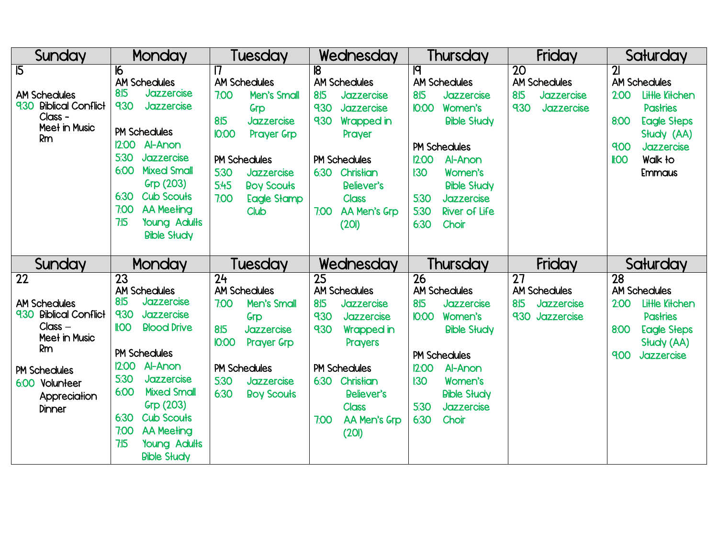| Sunday                                                                                                                                                                  | Monday                                                                                                                                                                                                                                                                                                                                                    | Tuesday                                                                                                                                                                                                                                     | Wednesday                                                                                                                                                                                                                           | Thursday                                                                                                                                                                                                                                                                         | Friday                                                                             | Saturday                                                                                                                                                                                         |  |
|-------------------------------------------------------------------------------------------------------------------------------------------------------------------------|-----------------------------------------------------------------------------------------------------------------------------------------------------------------------------------------------------------------------------------------------------------------------------------------------------------------------------------------------------------|---------------------------------------------------------------------------------------------------------------------------------------------------------------------------------------------------------------------------------------------|-------------------------------------------------------------------------------------------------------------------------------------------------------------------------------------------------------------------------------------|----------------------------------------------------------------------------------------------------------------------------------------------------------------------------------------------------------------------------------------------------------------------------------|------------------------------------------------------------------------------------|--------------------------------------------------------------------------------------------------------------------------------------------------------------------------------------------------|--|
| 15<br><b>AM Schedules</b><br>930 Biblical Conflict<br>Class-<br>Meet in Music<br><b>Rm</b>                                                                              | $\overline{6}$<br><b>AM Schedules</b><br>8:15<br>Jazzercise<br>9:30<br>Jazzercise<br><b>PM Schedules</b><br><b>12:00 Al-Anon</b><br>5:30<br>Jazzercise<br>6:00<br><b>Mixed Small</b><br>Grp (203)<br><b>Cub Scouts</b><br>6:30<br>7:00<br><b>AA Meeting</b><br>7:15<br><b>Young Adults</b><br><b>Bible Słudy</b>                                          | $\mathsf I$<br><b>AM Schedules</b><br>Men's Small<br>7:00<br>Grp<br>8:15<br>Jazzercise<br><b>IO:00</b><br><b>Prayer Grp</b><br><b>PM Schedules</b><br>5:30<br><b>Jazzercise</b><br>5:45<br><b>Boy Scouls</b><br>7:00<br>Eagle Stamp<br>Club | $\overline{8}$<br><b>AM Schedules</b><br>8:15<br><b>Jazzercise</b><br>9:30<br>Jazzercise<br>9:30<br>Wrapped in<br>Prayer<br><b>PM Schedules</b><br>6:30<br>Christian<br>Believer's<br><b>Class</b><br>7:00<br>AA Men's Grp<br>(201) | <b>PI</b><br><b>AM Schedules</b><br>8:15<br><b>Jazzercise</b><br><b>IO:OO</b><br>Women's<br><b>Bible Słudy</b><br><b>PM Schedules</b><br>12:00<br>Al-Anon<br><b>I:30</b><br>Women's<br><b>Bible Słudy</b><br>5:30<br>Jazzercise<br>5:30<br><b>River of Life</b><br>6:30<br>Choir | $\overline{20}$<br><b>AM Schedules</b><br>8:15<br>Jazzercise<br>9:30<br>Jazzercise | 2 <sub>l</sub><br><b>AM Schedules</b><br>2:00<br>Little Kitchen<br><b>Pastries</b><br><b>Eagle Steps</b><br>8:00<br>Słudy (AA)<br>9:00<br>Jazzercise<br><b>II:00</b><br>Walk to<br><b>Emmaus</b> |  |
| Sunday                                                                                                                                                                  | Monday                                                                                                                                                                                                                                                                                                                                                    | Tuesday                                                                                                                                                                                                                                     | Wednesday                                                                                                                                                                                                                           | Thursday                                                                                                                                                                                                                                                                         | Friday                                                                             | Saturday                                                                                                                                                                                         |  |
| $\overline{22}$<br><b>AM Schedules</b><br>9:30 Biblical Conflict<br>$Class -$<br>Meet in Music<br>Rm<br><b>PM Schedules</b><br>6:00 Volunteer<br>Appreciation<br>Dinner | $\overline{23}$<br><b>AM Schedules</b><br>8:15<br>Jazzercise<br>9:30<br>Jazzercise<br><b>II:00</b><br><b>Blood Drive</b><br><b>PM Schedules</b><br>12:00<br>Al-Anon<br>5:30<br><b>Jazzercise</b><br>6:00<br><b>Mixed Small</b><br>Grp (203)<br><b>Cub Scouts</b><br>6:30<br>7:00<br><b>AA Meeling</b><br>7:5<br><b>Young Adults</b><br><b>Bible Study</b> | $\overline{24}$<br><b>AM Schedules</b><br>7:00<br>Men's Small<br>Grp<br>8:15<br>Jazzercise<br><b>IO:00</b><br><b>Prayer Grp</b><br><b>PM Schedules</b><br>5:30<br>Jazzercise<br>6:30<br><b>Boy Scouls</b>                                   | $\overline{25}$<br><b>AM Schedules</b><br>8:15<br>Jazzercise<br>9:30<br>Jazzercise<br>9:30<br>Wrapped in<br>Prayers<br><b>PM Schedules</b><br>6:30<br>Christian<br>Believer's<br><b>Class</b><br>7:00<br>AA Men's Grp<br>(201)      | $\overline{26}$<br><b>AM Schedules</b><br>8:15<br><b>Jazzercise</b><br><b>IO:OO</b><br>Women's<br><b>Bible Słudy</b><br><b>PM Schedules</b><br>12:00<br>Al-Anon<br><b>I:30</b><br>Women's<br><b>Bible Słudy</b><br>5:30<br>Jazzercise<br>6:30<br>Choir                           | $\overline{27}$<br><b>AM Schedules</b><br>8:15<br>Jazzercise<br>9:30 Jazzercise    | $\overline{28}$<br><b>AM Schedules</b><br>2:00<br>Little Kitchen<br><b>Pastries</b><br>8:00<br><b>Eagle Steps</b><br>Słudy (AA)<br>9:00<br>Jazzercise                                            |  |